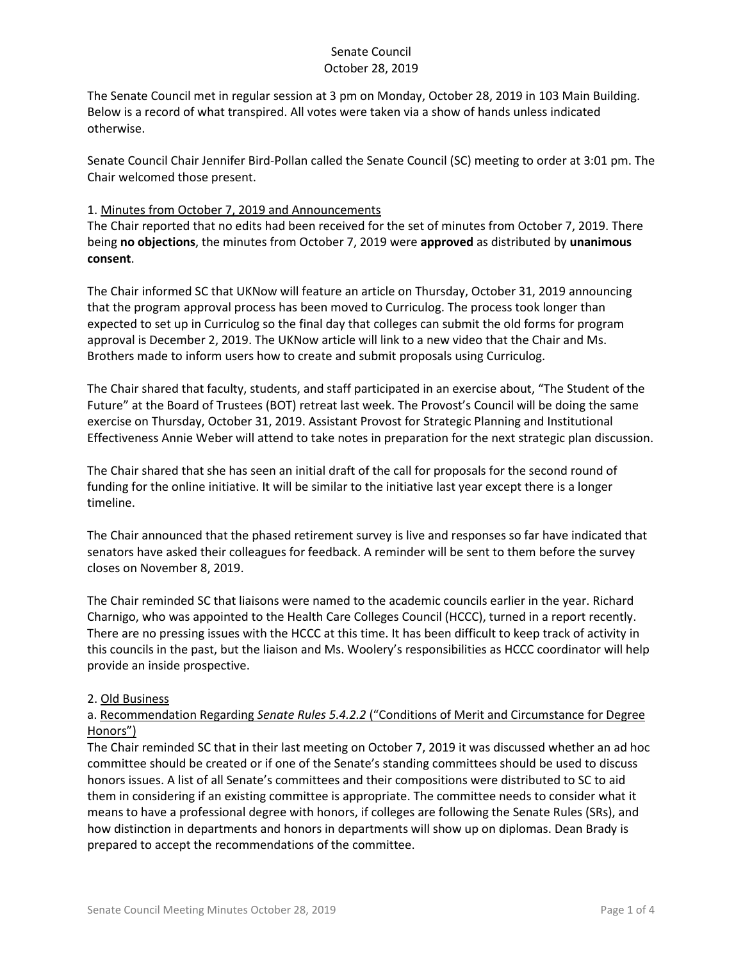The Senate Council met in regular session at 3 pm on Monday, October 28, 2019 in 103 Main Building. Below is a record of what transpired. All votes were taken via a show of hands unless indicated otherwise.

Senate Council Chair Jennifer Bird-Pollan called the Senate Council (SC) meeting to order at 3:01 pm. The Chair welcomed those present.

### 1. Minutes from October 7, 2019 and Announcements

The Chair reported that no edits had been received for the set of minutes from October 7, 2019. There being **no objections**, the minutes from October 7, 2019 were **approved** as distributed by **unanimous consent**.

The Chair informed SC that UKNow will feature an article on Thursday, October 31, 2019 announcing that the program approval process has been moved to Curriculog. The process took longer than expected to set up in Curriculog so the final day that colleges can submit the old forms for program approval is December 2, 2019. The UKNow article will link to a new video that the Chair and Ms. Brothers made to inform users how to create and submit proposals using Curriculog.

The Chair shared that faculty, students, and staff participated in an exercise about, "The Student of the Future" at the Board of Trustees (BOT) retreat last week. The Provost's Council will be doing the same exercise on Thursday, October 31, 2019. Assistant Provost for Strategic Planning and Institutional Effectiveness Annie Weber will attend to take notes in preparation for the next strategic plan discussion.

The Chair shared that she has seen an initial draft of the call for proposals for the second round of funding for the online initiative. It will be similar to the initiative last year except there is a longer timeline.

The Chair announced that the phased retirement survey is live and responses so far have indicated that senators have asked their colleagues for feedback. A reminder will be sent to them before the survey closes on November 8, 2019.

The Chair reminded SC that liaisons were named to the academic councils earlier in the year. Richard Charnigo, who was appointed to the Health Care Colleges Council (HCCC), turned in a report recently. There are no pressing issues with the HCCC at this time. It has been difficult to keep track of activity in this councils in the past, but the liaison and Ms. Woolery's responsibilities as HCCC coordinator will help provide an inside prospective.

### 2. Old Business

### a. Recommendation Regarding *Senate Rules 5.4.2.2* ("Conditions of Merit and Circumstance for Degree Honors")

The Chair reminded SC that in their last meeting on October 7, 2019 it was discussed whether an ad hoc committee should be created or if one of the Senate's standing committees should be used to discuss honors issues. A list of all Senate's committees and their compositions were distributed to SC to aid them in considering if an existing committee is appropriate. The committee needs to consider what it means to have a professional degree with honors, if colleges are following the Senate Rules (SRs), and how distinction in departments and honors in departments will show up on diplomas. Dean Brady is prepared to accept the recommendations of the committee.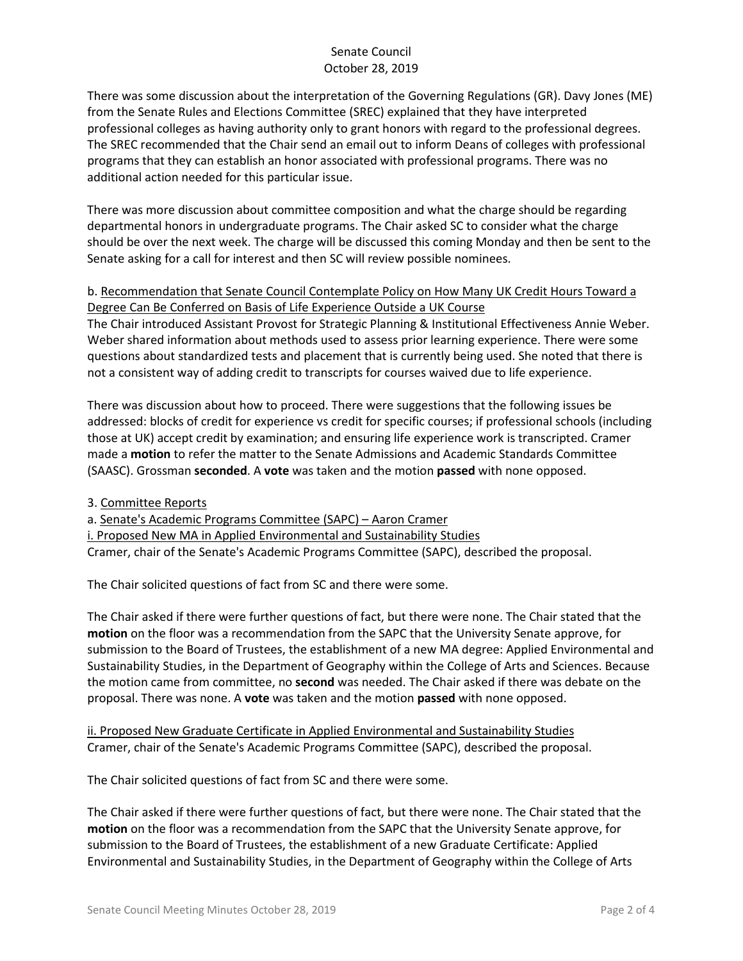There was some discussion about the interpretation of the Governing Regulations (GR). Davy Jones (ME) from the Senate Rules and Elections Committee (SREC) explained that they have interpreted professional colleges as having authority only to grant honors with regard to the professional degrees. The SREC recommended that the Chair send an email out to inform Deans of colleges with professional programs that they can establish an honor associated with professional programs. There was no additional action needed for this particular issue.

There was more discussion about committee composition and what the charge should be regarding departmental honors in undergraduate programs. The Chair asked SC to consider what the charge should be over the next week. The charge will be discussed this coming Monday and then be sent to the Senate asking for a call for interest and then SC will review possible nominees.

## b. Recommendation that Senate Council Contemplate Policy on How Many UK Credit Hours Toward a Degree Can Be Conferred on Basis of Life Experience Outside a UK Course

The Chair introduced Assistant Provost for Strategic Planning & Institutional Effectiveness Annie Weber. Weber shared information about methods used to assess prior learning experience. There were some questions about standardized tests and placement that is currently being used. She noted that there is not a consistent way of adding credit to transcripts for courses waived due to life experience.

There was discussion about how to proceed. There were suggestions that the following issues be addressed: blocks of credit for experience vs credit for specific courses; if professional schools (including those at UK) accept credit by examination; and ensuring life experience work is transcripted. Cramer made a **motion** to refer the matter to the Senate Admissions and Academic Standards Committee (SAASC). Grossman **seconded**. A **vote** was taken and the motion **passed** with none opposed.

3. Committee Reports

a. Senate's Academic Programs Committee (SAPC) – Aaron Cramer i. Proposed New MA in Applied Environmental and Sustainability Studies Cramer, chair of the Senate's Academic Programs Committee (SAPC), described the proposal.

The Chair solicited questions of fact from SC and there were some.

The Chair asked if there were further questions of fact, but there were none. The Chair stated that the **motion** on the floor was a recommendation from the SAPC that the University Senate approve, for submission to the Board of Trustees, the establishment of a new MA degree: Applied Environmental and Sustainability Studies, in the Department of Geography within the College of Arts and Sciences. Because the motion came from committee, no **second** was needed. The Chair asked if there was debate on the proposal. There was none. A **vote** was taken and the motion **passed** with none opposed.

ii. Proposed New Graduate Certificate in Applied Environmental and Sustainability Studies Cramer, chair of the Senate's Academic Programs Committee (SAPC), described the proposal.

The Chair solicited questions of fact from SC and there were some.

The Chair asked if there were further questions of fact, but there were none. The Chair stated that the **motion** on the floor was a recommendation from the SAPC that the University Senate approve, for submission to the Board of Trustees, the establishment of a new Graduate Certificate: Applied Environmental and Sustainability Studies, in the Department of Geography within the College of Arts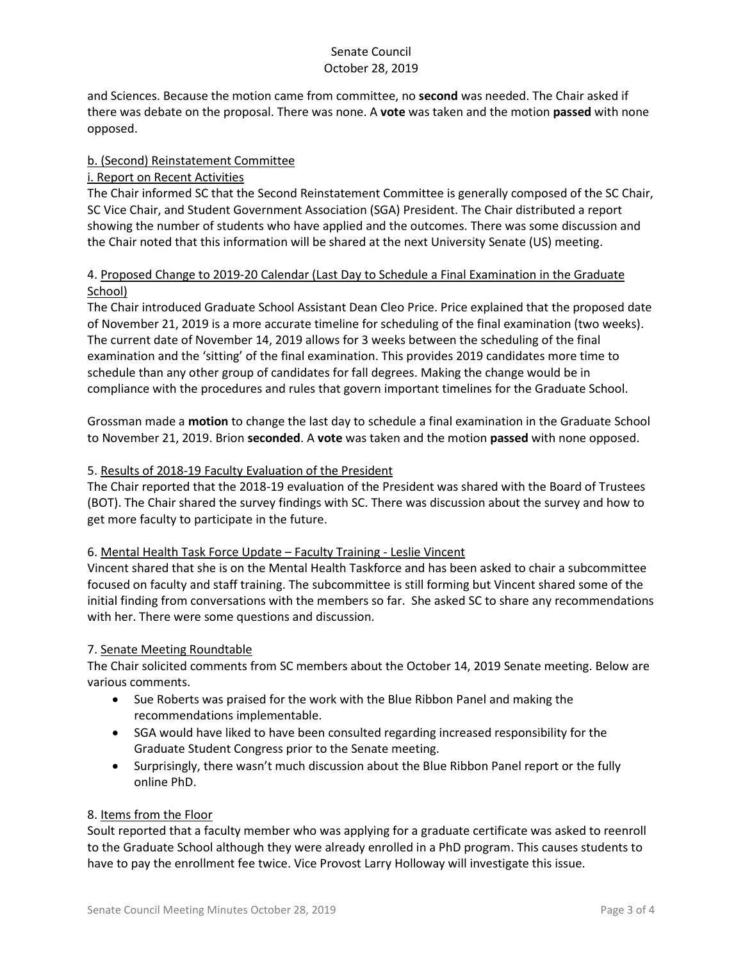and Sciences. Because the motion came from committee, no **second** was needed. The Chair asked if there was debate on the proposal. There was none. A **vote** was taken and the motion **passed** with none opposed.

# b. (Second) Reinstatement Committee

### i. Report on Recent Activities

The Chair informed SC that the Second Reinstatement Committee is generally composed of the SC Chair, SC Vice Chair, and Student Government Association (SGA) President. The Chair distributed a report showing the number of students who have applied and the outcomes. There was some discussion and the Chair noted that this information will be shared at the next University Senate (US) meeting.

### 4. Proposed Change to 2019-20 Calendar (Last Day to Schedule a Final Examination in the Graduate School)

The Chair introduced Graduate School Assistant Dean Cleo Price. Price explained that the proposed date of November 21, 2019 is a more accurate timeline for scheduling of the final examination (two weeks). The current date of November 14, 2019 allows for 3 weeks between the scheduling of the final examination and the 'sitting' of the final examination. This provides 2019 candidates more time to schedule than any other group of candidates for fall degrees. Making the change would be in compliance with the procedures and rules that govern important timelines for the Graduate School.

Grossman made a **motion** to change the last day to schedule a final examination in the Graduate School to November 21, 2019. Brion **seconded**. A **vote** was taken and the motion **passed** with none opposed.

### 5. Results of 2018-19 Faculty Evaluation of the President

The Chair reported that the 2018-19 evaluation of the President was shared with the Board of Trustees (BOT). The Chair shared the survey findings with SC. There was discussion about the survey and how to get more faculty to participate in the future.

### 6. Mental Health Task Force Update – Faculty Training - Leslie Vincent

Vincent shared that she is on the Mental Health Taskforce and has been asked to chair a subcommittee focused on faculty and staff training. The subcommittee is still forming but Vincent shared some of the initial finding from conversations with the members so far. She asked SC to share any recommendations with her. There were some questions and discussion.

### 7. Senate Meeting Roundtable

The Chair solicited comments from SC members about the October 14, 2019 Senate meeting. Below are various comments.

- Sue Roberts was praised for the work with the Blue Ribbon Panel and making the recommendations implementable.
- SGA would have liked to have been consulted regarding increased responsibility for the Graduate Student Congress prior to the Senate meeting.
- Surprisingly, there wasn't much discussion about the Blue Ribbon Panel report or the fully online PhD.

### 8. Items from the Floor

Soult reported that a faculty member who was applying for a graduate certificate was asked to reenroll to the Graduate School although they were already enrolled in a PhD program. This causes students to have to pay the enrollment fee twice. Vice Provost Larry Holloway will investigate this issue.